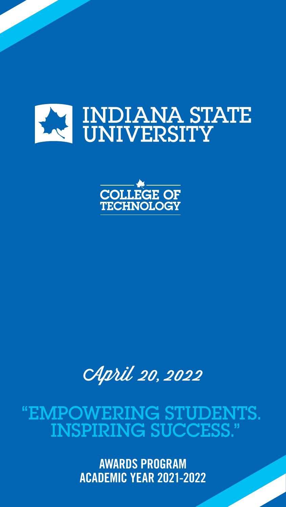





AWARDS PROGRAM

### ACADEMIC YEAR 2021-2022

## "EMPOWERING STUDENTS. INSPIRING SUCCESS."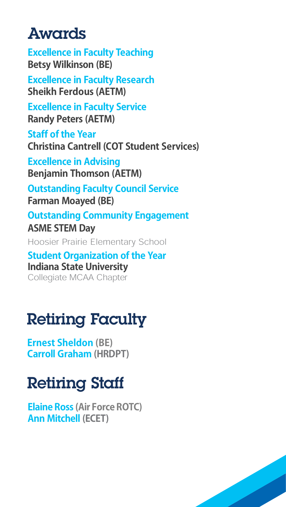## Awards

**Excellence in Faculty Teaching Betsy Wilkinson (BE)**

**Excellence in Faculty Research Sheikh Ferdous (AETM)**

**Excellence in Faculty Service Randy Peters (AETM)**

**Staff of the Year Christina Cantrell (COT Student Services)**

**Excellence in Advising Benjamin Thomson (AETM)**

**Outstanding Faculty Council Service Farman Moayed (BE)**

**Outstanding Community Engagement ASME STEM Day** 

Hoosier Prairie Elementary School

### **Student Organization of the Year Indiana State University**

Collegiate MCAA Chapter

# Retiring Faculty

**Ernest Sheldon (BE) Carroll Graham (HRDPT)**

# Retiring Staff

**Elaine Ross (Air Force ROTC) Ann Mitchell (ECET)**

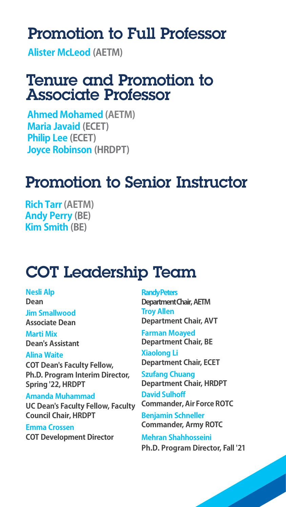## Promotion to Full Professor

**Alister McLeod (AETM)**

### Tenure and Promotion to Associate Professor

**Ahmed Mohamed (AETM) Maria Javaid (ECET) Philip Lee (ECET) Joyce Robinson (HRDPT)**

## Promotion to Senior Instructor

**Rich Tarr (AETM) Andy Perry (BE) Kim Smith (BE)**

# COT Leadership Team

**Nesli Alp Dean**

**Jim Smallwood Associate Dean**

**Marti Mix Dean's Assistant**

#### **Alina Waite**

**COT Dean's Faculty Fellow, Ph.D. Program Interim Director, Spring '22, HRDPT**

#### **Amanda Muhammad**

**UC Dean's Faculty Fellow, Faculty Council Chair, HRDPT**

**Emma Crossen COT Development Director**

#### **Randy Peters**

**Department Chair, AETM Troy Allen Department Chair, AVT**

#### **Farman Moayed Department Chair, BE**

**Xiaolong Li Department Chair, ECET**

**Szufang Chuang Department Chair, HRDPT David Sulhoff Commander, Air Force ROTC Benjamin Schneller Commander, Army ROTC Mehran Shahhosseini** 

**Ph.D. Program Director, Fall '21**

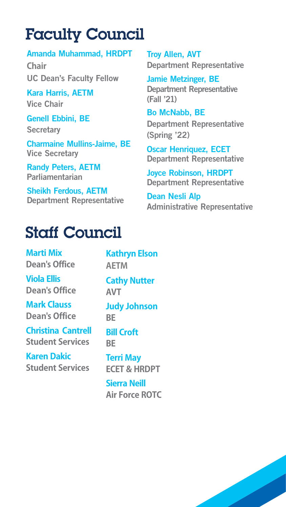# Faculty Council

#### Amanda Muhammad, HRDPT

**Chair**

UC Dean's Faculty Fellow

Kara Harris, AETM Vice Chair

#### Genell Ebbini, BE

**Secretary** 

Charmaine Mullins-Jaime, BE Vice Secretary

Randy Peters, AETM Parliamentarian

Sheikh Ferdous, AETM Department Representative Troy Allen, AVT Department Representative

Jamie Metzinger, BE Department Representative (Fall '21)

Bo McNabb, BE

Department Representative (Spring '22)

Oscar Henriquez, ECET Department Representative

Joyce Robinson, HRDPT Department Representative

Dean Nesli Alp Administrative Representative

### Staff Council

**Marti Mix Dean's Office Viola Ellis Dean's Office Mark Clauss Dean's Office Christina Cantrell Student Services Karen Dakic Student Services**

**Kathryn Elson AETM Cathy Nutter AVT Judy Johnson BE Bill Croft BE Terri May ECET & HRDPT Sierra Neill Air Force ROTC**